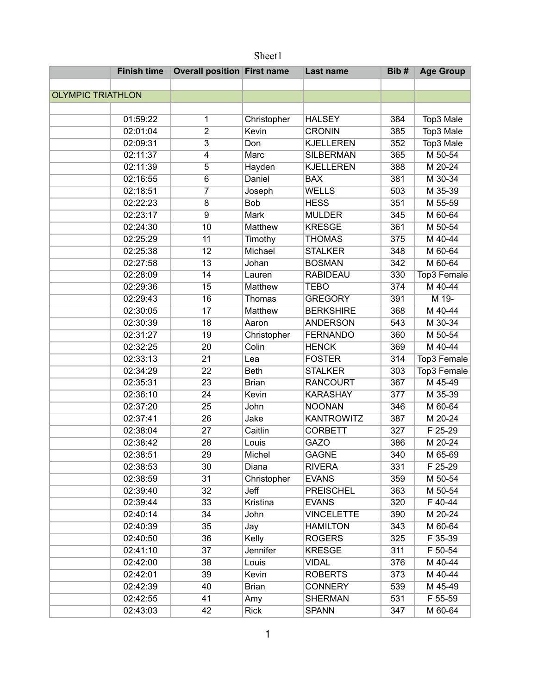|                          | <b>Finish time</b> | <b>Overall position First name</b> |                | <b>Last name</b>  | Bib# | <b>Age Group</b>     |
|--------------------------|--------------------|------------------------------------|----------------|-------------------|------|----------------------|
|                          |                    |                                    |                |                   |      |                      |
| <b>OLYMPIC TRIATHLON</b> |                    |                                    |                |                   |      |                      |
|                          |                    |                                    |                |                   |      |                      |
|                          | 01:59:22           | 1                                  | Christopher    | <b>HALSEY</b>     | 384  | Top3 Male            |
|                          | 02:01:04           | $\overline{2}$                     | Kevin          | <b>CRONIN</b>     | 385  | Top3 Male            |
|                          | 02:09:31           | $\overline{3}$                     | Don            | <b>KJELLEREN</b>  | 352  | Top3 Male            |
|                          | 02:11:37           | $\overline{4}$                     | Marc           | <b>SILBERMAN</b>  | 365  | M 50-54              |
|                          | 02:11:39           | $\overline{5}$                     | Hayden         | <b>KJELLEREN</b>  | 388  | M 20-24              |
|                          | 02:16:55           | $\overline{6}$                     | Daniel         | <b>BAX</b>        | 381  | M 30-34              |
|                          | 02:18:51           | $\overline{7}$                     | Joseph         | <b>WELLS</b>      | 503  | M 35-39              |
|                          | 02:22:23           | $\overline{8}$                     | <b>Bob</b>     | <b>HESS</b>       | 351  | M 55-59              |
|                          | 02:23:17           | $\overline{9}$                     | <b>Mark</b>    | <b>MULDER</b>     | 345  | M 60-64              |
|                          | 02:24:30           | 10                                 | <b>Matthew</b> | <b>KRESGE</b>     | 361  | M 50-54              |
|                          | 02:25:29           | $\overline{11}$                    | Timothy        | <b>THOMAS</b>     | 375  | M 40-44              |
|                          | 02:25:38           | 12                                 | Michael        | <b>STALKER</b>    | 348  | M 60-64              |
|                          | 02:27:58           | 13                                 | Johan          | <b>BOSMAN</b>     | 342  | M 60-64              |
|                          | 02:28:09           | 14                                 | Lauren         | <b>RABIDEAU</b>   | 330  | Top3 Female          |
|                          | 02:29:36           | 15                                 | <b>Matthew</b> | <b>TEBO</b>       | 374  | M 40-44              |
|                          | 02:29:43           | 16                                 | Thomas         | <b>GREGORY</b>    | 391  | M 19-                |
|                          | 02:30:05           | 17                                 | <b>Matthew</b> | <b>BERKSHIRE</b>  | 368  | M 40-44              |
|                          | 02:30:39           | 18                                 | Aaron          | <b>ANDERSON</b>   | 543  | M 30-34              |
|                          | 02:31:27           | 19                                 | Christopher    | <b>FERNANDO</b>   | 360  | $\overline{M}$ 50-54 |
|                          | 02:32:25           | 20                                 | Colin          | <b>HENCK</b>      | 369  | M 40-44              |
|                          | 02:33:13           | $\overline{21}$                    | Lea            | <b>FOSTER</b>     | 314  | Top3 Female          |
|                          | 02:34:29           | $\overline{22}$                    | <b>Beth</b>    | <b>STALKER</b>    | 303  | Top3 Female          |
|                          | 02:35:31           | 23                                 | <b>Brian</b>   | <b>RANCOURT</b>   | 367  | M 45-49              |
|                          | 02:36:10           | $\overline{24}$                    | Kevin          | <b>KARASHAY</b>   | 377  | M 35-39              |
|                          | 02:37:20           | $\overline{25}$                    | John           | <b>NOONAN</b>     | 346  | M 60-64              |
|                          | 02:37:41           | 26                                 | Jake           | <b>KANTROWITZ</b> | 387  | M 20-24              |
|                          | 02:38:04           | 27                                 | Caitlin        | <b>CORBETT</b>    | 327  | F 25-29              |
|                          | 02:38:42           | 28                                 | Louis          | <b>GAZO</b>       | 386  | M 20-24              |
|                          | 02:38:51           | 29                                 | Michel         | <b>GAGNE</b>      | 340  | M 65-69              |
|                          | 02:38:53           | 30                                 | Diana          | <b>RIVERA</b>     | 331  | F 25-29              |
|                          | 02:38:59           | 31                                 | Christopher    | <b>EVANS</b>      | 359  | M 50-54              |
|                          | 02:39:40           | $\overline{32}$                    | Jeff           | <b>PREISCHEL</b>  | 363  | M 50-54              |
|                          | 02:39:44           | 33                                 | Kristina       | <b>EVANS</b>      | 320  | $F$ 40-44            |
|                          | 02:40:14           | 34                                 | John           | <b>VINCELETTE</b> | 390  | M 20-24              |
|                          | 02:40:39           | 35                                 | Jay            | <b>HAMILTON</b>   | 343  | M 60-64              |
|                          | 02:40:50           | 36                                 | Kelly          | <b>ROGERS</b>     | 325  | F 35-39              |
|                          | 02:41:10           | 37                                 | Jennifer       | <b>KRESGE</b>     | 311  | F 50-54              |
|                          | 02:42:00           | 38                                 | Louis          | <b>VIDAL</b>      | 376  | M 40-44              |
|                          | 02:42:01           | 39                                 | Kevin          | <b>ROBERTS</b>    | 373  | M 40-44              |
|                          | 02:42:39           | 40                                 | <b>Brian</b>   | <b>CONNERY</b>    | 539  | M 45-49              |
|                          | 02:42:55           | 41                                 | Amy            | <b>SHERMAN</b>    | 531  | F 55-59              |
|                          | 02:43:03           | 42                                 | <b>Rick</b>    | <b>SPANN</b>      | 347  | M 60-64              |

## Sheet1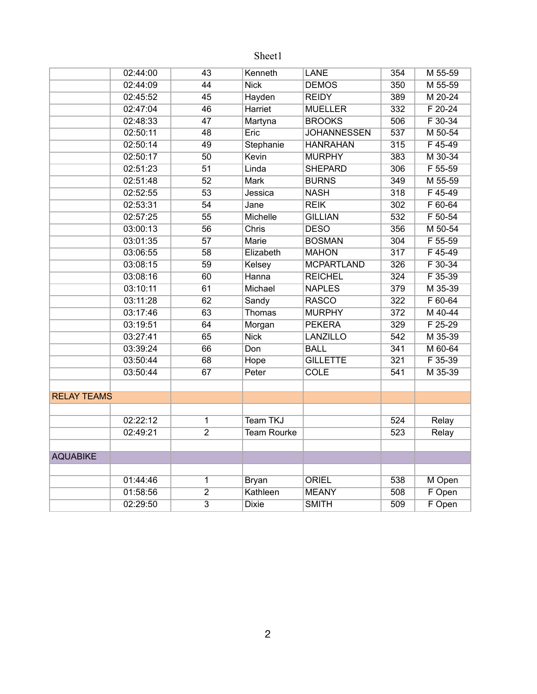## Sheet1

|                    | 02:44:00 | 43                        | Kenneth            | <b>LANE</b>        | 354 | M 55-59     |
|--------------------|----------|---------------------------|--------------------|--------------------|-----|-------------|
|                    | 02:44:09 | 44                        | <b>Nick</b>        | <b>DEMOS</b>       | 350 | M 55-59     |
|                    | 02:45:52 | 45                        | Hayden             | <b>REIDY</b>       | 389 | M 20-24     |
|                    | 02:47:04 | 46                        | <b>Harriet</b>     | <b>MUELLER</b>     | 332 | $F 20-24$   |
|                    | 02:48:33 | 47                        | Martyna            | <b>BROOKS</b>      | 506 | F 30-34     |
|                    | 02:50:11 | 48                        | Eric               | <b>JOHANNESSEN</b> | 537 | M 50-54     |
|                    | 02:50:14 | 49                        | Stephanie          | <b>HANRAHAN</b>    | 315 | $F$ 45-49   |
|                    | 02:50:17 | 50                        | Kevin              | <b>MURPHY</b>      | 383 | M 30-34     |
|                    | 02:51:23 | $\overline{51}$           | Linda              | <b>SHEPARD</b>     | 306 | F 55-59     |
|                    | 02:51:48 | 52                        | <b>Mark</b>        | <b>BURNS</b>       | 349 | M 55-59     |
|                    | 02:52:55 | 53                        | Jessica            | <b>NASH</b>        | 318 | $F$ 45-49   |
|                    | 02:53:31 | 54                        | Jane               | <b>REIK</b>        | 302 | F 60-64     |
|                    | 02:57:25 | 55                        | Michelle           | <b>GILLIAN</b>     | 532 | $F 50 - 54$ |
|                    | 03:00:13 | 56                        | Chris              | <b>DESO</b>        | 356 | M 50-54     |
|                    | 03:01:35 | 57                        | <b>Marie</b>       | <b>BOSMAN</b>      | 304 | F 55-59     |
|                    | 03:06:55 | 58                        | Elizabeth          | <b>MAHON</b>       | 317 | F 45-49     |
|                    | 03:08:15 | 59                        | Kelsey             | <b>MCPARTLAND</b>  | 326 | F 30-34     |
|                    | 03:08:16 | 60                        | Hanna              | <b>REICHEL</b>     | 324 | F 35-39     |
|                    | 03:10:11 | 61                        | Michael            | <b>NAPLES</b>      | 379 | M 35-39     |
|                    | 03:11:28 | 62                        | Sandy              | <b>RASCO</b>       | 322 | F 60-64     |
|                    | 03:17:46 | 63                        | Thomas             | <b>MURPHY</b>      | 372 | M 40-44     |
|                    | 03:19:51 | 64                        | Morgan             | <b>PEKERA</b>      | 329 | F 25-29     |
|                    | 03:27:41 | 65                        | <b>Nick</b>        | <b>LANZILLO</b>    | 542 | M 35-39     |
|                    | 03:39:24 | 66                        | Don                | <b>BALL</b>        | 341 | M 60-64     |
|                    | 03:50:44 | 68                        | Hope               | <b>GILLETTE</b>    | 321 | F 35-39     |
|                    | 03:50:44 | 67                        | Peter              | <b>COLE</b>        | 541 | M 35-39     |
|                    |          |                           |                    |                    |     |             |
| <b>RELAY TEAMS</b> |          |                           |                    |                    |     |             |
|                    |          |                           |                    |                    |     |             |
|                    | 02:22:12 | $\overline{1}$            | <b>Team TKJ</b>    |                    | 524 | Relay       |
|                    | 02:49:21 | $\overline{2}$            | <b>Team Rourke</b> |                    | 523 | Relay       |
|                    |          |                           |                    |                    |     |             |
| <b>AQUABIKE</b>    |          |                           |                    |                    |     |             |
|                    |          |                           |                    |                    |     |             |
|                    | 01:44:46 | $\overline{1}$            | <b>Bryan</b>       | <b>ORIEL</b>       | 538 | M Open      |
|                    | 01:58:56 | $\overline{2}$            | Kathleen           | <b>MEANY</b>       | 508 | F Open      |
|                    | 02:29:50 | $\overline{\overline{3}}$ | <b>Dixie</b>       | <b>SMITH</b>       | 509 | F Open      |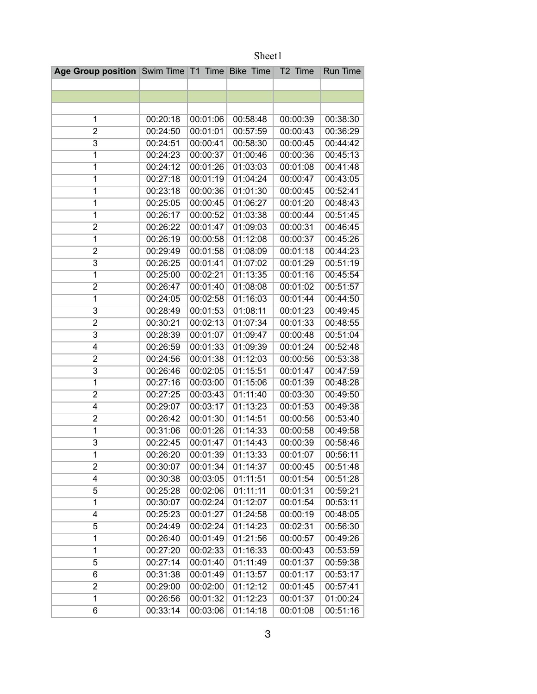| Age Group position Swim Time T1 Time Bike Time |          |          |          | T2 Time  | Run Time |
|------------------------------------------------|----------|----------|----------|----------|----------|
|                                                |          |          |          |          |          |
|                                                |          |          |          |          |          |
|                                                |          |          |          |          |          |
| 1                                              | 00:20:18 | 00:01:06 | 00:58:48 | 00:00:39 | 00:38:30 |
| 2                                              | 00:24:50 | 00:01:01 | 00:57:59 | 00:00:43 | 00:36:29 |
| 3                                              | 00:24:51 | 00:00:41 | 00:58:30 | 00:00:45 | 00:44:42 |
| 1                                              | 00:24:23 | 00:00:37 | 01:00:46 | 00:00:36 | 00:45:13 |
| 1                                              | 00:24:12 | 00:01:26 | 01:03:03 | 00:01:08 | 00:41:48 |
| $\overline{1}$                                 | 00:27:18 | 00:01:19 | 01:04:24 | 00:00:47 | 00:43:05 |
| 1                                              | 00:23:18 | 00:00:36 | 01:01:30 | 00:00:45 | 00:52:41 |
| $\overline{1}$                                 | 00:25:05 | 00:00:45 | 01:06:27 | 00:01:20 | 00:48:43 |
| 1                                              | 00:26:17 | 00:00:52 | 01:03:38 | 00:00:44 | 00:51:45 |
| $\overline{c}$                                 | 00:26:22 | 00:01:47 | 01:09:03 | 00:00:31 | 00:46:45 |
| $\overline{1}$                                 | 00:26:19 | 00:00:58 | 01:12:08 | 00:00:37 | 00:45:26 |
| $\overline{2}$                                 | 00:29:49 | 00:01:58 | 01:08:09 | 00:01:18 | 00:44:23 |
| 3                                              | 00:26:25 | 00:01:41 | 01:07:02 | 00:01:29 | 00:51:19 |
| 1                                              | 00:25:00 | 00:02:21 | 01:13:35 | 00:01:16 | 00:45:54 |
| $\overline{2}$                                 | 00:26:47 | 00:01:40 | 01:08:08 | 00:01:02 | 00:51:57 |
| $\overline{1}$                                 | 00:24:05 | 00:02:58 | 01:16:03 | 00:01:44 | 00:44:50 |
| 3                                              | 00:28:49 | 00:01:53 | 01:08:11 | 00:01:23 | 00:49:45 |
| $\overline{2}$                                 | 00:30:21 | 00:02:13 | 01:07:34 | 00:01:33 | 00:48:55 |
| $\overline{3}$                                 | 00:28:39 | 00:01:07 | 01:09:47 | 00:00:48 | 00:51:04 |
| 4                                              | 00:26:59 | 00:01:33 | 01:09:39 | 00:01:24 | 00:52:48 |
| $\overline{2}$                                 | 00:24:56 | 00:01:38 | 01:12:03 | 00:00:56 | 00:53:38 |
| $\overline{3}$                                 | 00:26:46 | 00:02:05 | 01:15:51 | 00:01:47 | 00:47:59 |
| $\overline{1}$                                 | 00:27:16 | 00:03:00 | 01:15:06 | 00:01:39 | 00:48:28 |
| 2                                              | 00:27:25 | 00:03:43 | 01:11:40 | 00:03:30 | 00:49:50 |
| 4                                              | 00:29:07 | 00:03:17 | 01:13:23 | 00:01:53 | 00:49:38 |
| $\overline{2}$                                 | 00:26:42 | 00:01:30 | 01:14:51 | 00:00:56 | 00:53:40 |
| $\overline{1}$                                 | 00:31:06 | 00:01:26 | 01:14:33 | 00:00:58 | 00:49:58 |
| 3                                              | 00:22:45 | 00:01:47 | 01:14:43 | 00:00:39 | 00:58:46 |
| $\overline{1}$                                 | 00:26:20 | 00:01:39 | 01:13:33 | 00:01:07 | 00:56:11 |
| 2                                              | 00:30:07 | 00:01:34 | 01:14:37 | 00:00:45 | 00:51:48 |
| 4                                              | 00:30:38 | 00:03:05 | 01:11:51 | 00:01:54 | 00:51:28 |
| 5                                              | 00:25:28 | 00:02:06 | 01:11:11 | 00:01:31 | 00:59:21 |
| $\mathbf{1}$                                   | 00:30:07 | 00:02:24 | 01:12:07 | 00:01:54 | 00:53:11 |
| 4                                              | 00:25:23 | 00:01:27 | 01:24:58 | 00:00:19 | 00:48:05 |
| 5                                              | 00:24:49 | 00:02:24 | 01:14:23 | 00:02:31 | 00:56:30 |
| 1                                              | 00:26:40 | 00:01:49 | 01:21:56 | 00:00:57 | 00:49:26 |
| 1                                              | 00:27:20 | 00:02:33 | 01:16:33 | 00:00:43 | 00:53:59 |
| 5                                              | 00:27:14 | 00:01:40 | 01:11:49 | 00:01:37 | 00:59:38 |
| 6                                              | 00:31:38 | 00:01:49 | 01:13:57 | 00:01:17 | 00:53:17 |
| $\overline{2}$                                 | 00:29:00 | 00:02:00 | 01:12:12 | 00:01:45 | 00:57:41 |
| 1                                              | 00:26:56 | 00:01:32 | 01:12:23 | 00:01:37 | 01:00:24 |
| 6                                              | 00:33:14 | 00:03:06 | 01:14:18 | 00:01:08 | 00:51:16 |

Sheet1